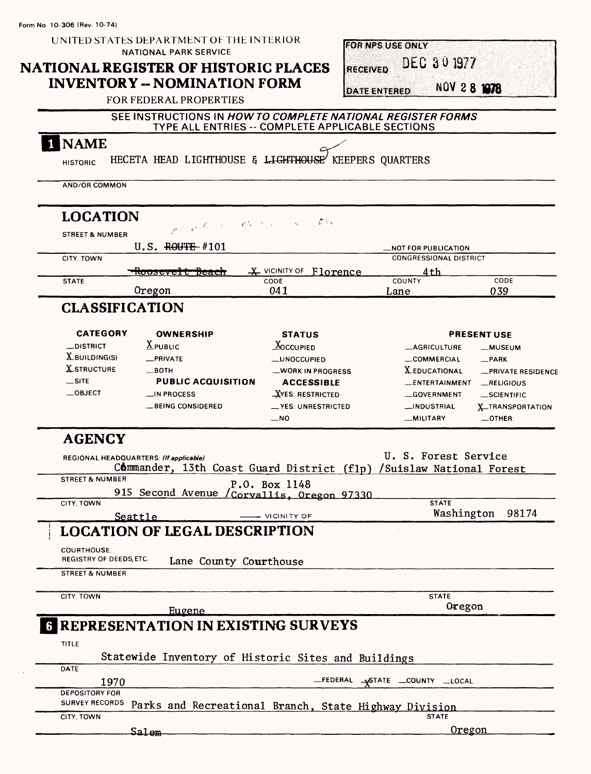| Form No. 10-306 (Rev. 10-74)                                             |                                             |                                                                     |                                         |                                     |                               |                                |
|--------------------------------------------------------------------------|---------------------------------------------|---------------------------------------------------------------------|-----------------------------------------|-------------------------------------|-------------------------------|--------------------------------|
| UNITED STATES DEPARTMENT OF THE INTERIOR<br><b>NATIONAL PARK SERVICE</b> |                                             |                                                                     |                                         | <b>FOR NPS USE ONLY</b>             |                               |                                |
|                                                                          | <b>NATIONAL REGISTER OF HISTORIC PLACES</b> |                                                                     |                                         | DEC 30 1977<br><b>RECEIVED</b>      |                               |                                |
|                                                                          |                                             | <b>INVENTORY -- NOMINATION FORM</b>                                 |                                         |                                     |                               |                                |
|                                                                          |                                             | <b>FOR FEDERAL PROPERTIES</b>                                       |                                         | NOV 2 8 1978<br><b>DATE ENTERED</b> |                               |                                |
|                                                                          |                                             | SEE INSTRUCTIONS IN HOW TO COMPLETE NATIONAL REGISTER FORMS         |                                         |                                     |                               |                                |
|                                                                          |                                             | TYPE ALL ENTRIES -- COMPLETE APPLICABLE SECTIONS                    |                                         |                                     |                               |                                |
| <b>NAME</b>                                                              |                                             |                                                                     |                                         |                                     |                               |                                |
| <b>HISTORIC</b>                                                          |                                             | HECETA HEAD LIGHTHOUSE & LIGHTHOUSE' KEEPERS QUARTERS               |                                         |                                     |                               |                                |
| AND/OR COMMON                                                            |                                             |                                                                     |                                         |                                     |                               |                                |
| <b>LOCATION</b>                                                          |                                             |                                                                     | $\sqrt{2}$                              |                                     |                               |                                |
| <b>STREET &amp; NUMBER</b>                                               |                                             | North Corren                                                        |                                         |                                     |                               |                                |
|                                                                          |                                             | $U.S.$ ROUTE #101                                                   |                                         |                                     | __NOT FOR PUBLICATION         |                                |
| CITY, TOWN                                                               |                                             |                                                                     | X VICINITY OF Florence                  |                                     | <b>CONGRESSIONAL DISTRICT</b> |                                |
| <b>STATE</b>                                                             |                                             | <del>Roosevelt beach</del>                                          | CODE                                    | COUNTY                              | 4th                           | CODE                           |
|                                                                          |                                             | Oregon                                                              | 041                                     | Lane                                |                               | 039                            |
|                                                                          |                                             | <b>CLASSIFICATION</b>                                               |                                         |                                     |                               |                                |
|                                                                          | <b>CATEGORY</b>                             | <b>OWNERSHIP</b>                                                    | <b>STATUS</b>                           |                                     |                               | <b>PRESENT USE</b>             |
| _DISTRICT                                                                |                                             | $\underline{X}$ PUBLIC                                              | $\Delta$ OCCUPIED                       |                                     | <b>_AGRICULTURE</b>           | -MUSEUM                        |
| $X$ <i>BUILDING(S)</i>                                                   |                                             | _PRIVATE                                                            | <b>__UNOCCUPIED</b>                     |                                     | <b>__COMMERCIAL</b>           | $-$ PARK                       |
| <b>X_STRUCTURE</b>                                                       |                                             | $\equiv$ BOTH                                                       | _WORK IN PROGRESS                       |                                     | <b>X_EDUCATIONAL</b>          | -PRIVATE RESIDENCE             |
| $\equiv$ SITE                                                            |                                             | <b>PUBLIC ACQUISITION</b>                                           | <b>ACCESSIBLE</b>                       |                                     | _ENTERTAINMENT                | RELIGIOUS                      |
| $\_$ OBJECT                                                              |                                             | $\Box$ IN PROCESS                                                   | <b>XYES: RESTRICTED</b>                 |                                     | __GOVERNMENT                  | $\_$ SCIENTIFIC                |
|                                                                          |                                             | <b>BEING CONSIDERED</b>                                             | <b>__YES: UNRESTRICTED</b><br>$_{-}$ NO |                                     | __INDUSTRIAL<br>__MILITARY    | X TRANSPORTATION<br>$-$ OTHER: |
| <b>AGENCY</b>                                                            |                                             |                                                                     |                                         |                                     |                               |                                |
|                                                                          |                                             | REGIONAL HEADQUARTERS: (If applicable)                              |                                         |                                     | U. S. Forest Service          |                                |
|                                                                          |                                             | Commander, 13th Coast Guard District (flp) /Suislaw National Forest |                                         |                                     |                               |                                |
| <b>STREET &amp; NUMBER</b>                                               |                                             |                                                                     | P.O. Box 1148                           |                                     |                               |                                |
| CITY, TOWN                                                               |                                             | 915 Second Avenue                                                   | Corvallis, Oregon 97330                 |                                     | <b>STATE</b>                  |                                |
|                                                                          | Seattle                                     |                                                                     | - VICINITY OF                           |                                     | Washington                    | 98174                          |
|                                                                          |                                             | <b>LOCATION OF LEGAL DESCRIPTION</b>                                |                                         |                                     |                               |                                |
| COURTHOUSE,                                                              |                                             |                                                                     |                                         |                                     |                               |                                |
|                                                                          | REGISTRY OF DEEDS, ETC.                     | Lane County Courthouse                                              |                                         |                                     |                               |                                |
| <b>STREET &amp; NUMBER</b>                                               |                                             |                                                                     |                                         |                                     |                               |                                |
| CITY, TOWN                                                               |                                             |                                                                     |                                         |                                     | <b>STATE</b><br>Oregon        |                                |
|                                                                          |                                             | Eugene                                                              |                                         |                                     |                               |                                |
|                                                                          |                                             | <b>6 REPRESENTATION IN EXISTING SURVEYS</b>                         |                                         |                                     |                               |                                |
| <b>TITLE</b>                                                             |                                             |                                                                     |                                         |                                     |                               |                                |
| DATE                                                                     |                                             | Statewide Inventory of Historic Sites and Buildings                 |                                         |                                     |                               |                                |
|                                                                          | 1970                                        |                                                                     |                                         |                                     |                               |                                |
| <b>DEPOSITORY FOR</b><br><b>SURVEY RECORDS</b>                           |                                             |                                                                     |                                         |                                     |                               |                                |
| CITY, TOWN                                                               |                                             | Parks and Recreational Branch, State Highway Division               |                                         |                                     | <b>STATE</b>                  |                                |
|                                                                          |                                             | Salem                                                               |                                         |                                     | <u>Oregon</u>                 |                                |
|                                                                          |                                             |                                                                     |                                         |                                     |                               |                                |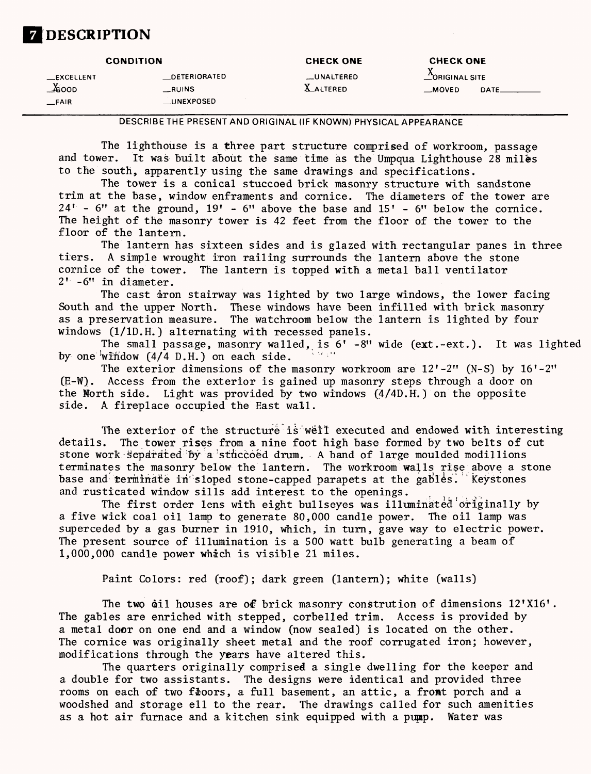# **DESCRIPTION**

|                                              | <b>CONDITION</b>                              | <b>CHECK ONE</b>               | <b>CHECK ONE</b>                          |  |  |
|----------------------------------------------|-----------------------------------------------|--------------------------------|-------------------------------------------|--|--|
| <b>EXCELLENT</b><br>v.<br>∡eoop<br>$_F$ FAIR | <b>DETERIORATED</b><br>__RUINS<br>__UNEXPOSED | __UNALTERED<br><b>LALTERED</b> | CORIGINAL SITE<br>$\equiv$ MOVED<br>DATE. |  |  |

DESCRIBETHE PRESENT AND ORIGINAL (IF KNOWN) PHYSICAL APPEARANCE

The lighthouse is a three part structure comprised of workroom, passage<br>and tower. It was built about the same time as the Umpous Lighthouse 28 miles It was built about the same time as the Umpqua Lighthouse 28 miles to the south, apparently using the same drawings and specifications.

The tower is a conical stuccoed brick masonry structure with sandstone trim at the base, window enframents and cornice. The diameters of the tower are  $24'$  - 6" at the ground,  $19'$  - 6" above the base and  $15'$  - 6" below the cornice. The height of the masonry tower is 42 feet from the floor of the tower to the floor of the lantern.

The lantern has sixteen sides and is glazed with rectangular panes in three tiers. A simple wrought iron railing surrounds the lantern above the stone A simple wrought iron railing surrounds the lantern above the stone cornice of the tower. The lantern is topped with a metal ball ventilator 2' -6" in diameter.

The cast iron stairway was lighted by two large windows, the lower facing South and the upper North. These windows have been infilled with brick masonry as a preservation measure. The watchroom below the lantern is lighted by four windows (1/1D.H.) alternating with recessed panels.

The small passage, masonry walled, is  $6'$  -8" wide (ext.-ext.). It was lighted by one 'wifidow (4/4 D.H.) on each side.

The exterior dimensions of the masonry workroom are  $12' - 2''$  (N-S) by  $16' - 2''$ (E-W). Access from the exterior is gained up masonry steps through a door on the North side. Light was provided by two windows (4/4D.H.) on the opposite side. A fireplace occupied the East wall.

The exterior of the structure is well executed and endowed with interesting<br>details. The tower rises from a nine foot high base formed by two belts of cut The tower rises from a nine foot high base formed by two belts of cut stone work Separated by a stuccoed drum. A band of large moulded modillions terminates the masonry below the lantern. The workroom walls rise above a stone base and terminate in sloped stone-capped parapets at the gables. Keystones and rusticated window sills add interest to the openings.

The first order lens with eight bullseyes was illuminated originally by a five wick coal oil lamp to generate 80,000 candle power. The oil lamp was superceded by a gas burner in 1910, which, in turn, gave way to electric power. The present source of illumination is a 500 watt bulb generating a beam of 1,000,000 candle power which is visible 21 miles.

Paint Colors: red (roof); dark green (lantern); white (walls)

The two coil houses are of brick masonry constrution of dimensions  $12'X16'$ . The gables are enriched with stepped, corbelled trim. Access is provided by a metal door on one end and a window (now sealed) is located on the other. The cornice was originally sheet metal and the roof corrugated iron; however, modifications through the years have altered this.

The quarters originally comprised a single dwelling for the keeper and a double for two assistants. The designs were identical and provided three rooms on each of two floors, a full basement, an attic, a front porch and a woodshed and storage ell to the rear. The drawings called for such amenities as a hot air furnace and a kitchen sink equipped with a pupp. Water was

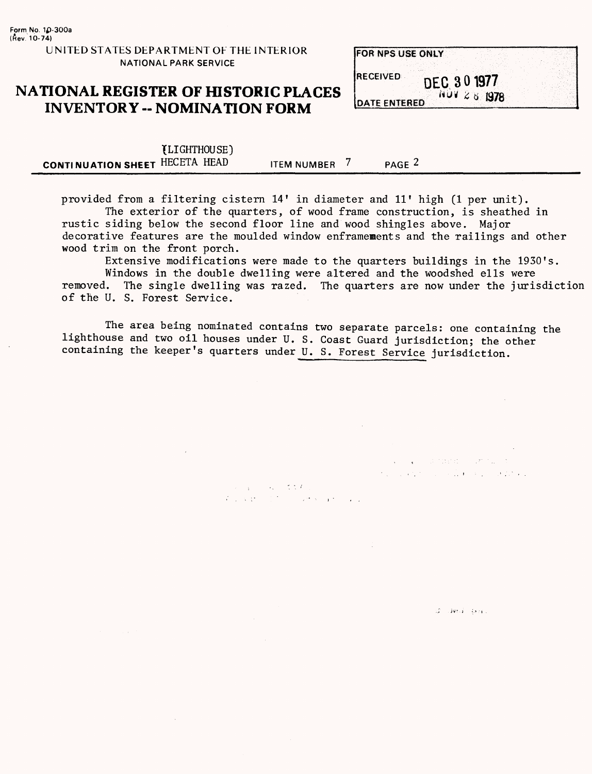**FOR NPS USE ONLY** 

### **NATIONAL REGISTER OF HISTORIC PLACES INVENTORY - NOMINATION FORM**

**RECEIVED** DEC 30 1977  $140128$  1978 **DATE ENTERED** 

> $\mathcal{L}_{\text{max}}$  , and interface  $\mathcal{L}_{\text{max}}$ the control of the Carlos Control of

> > $G = 4$ ve  $4 - 4$ ker ( $\sim$

| (LIGHTHOUSE)                   |                    |               |  |
|--------------------------------|--------------------|---------------|--|
| CONTINUATION SHEET HECETA HEAD | <b>ITEM NUMBER</b> | PAGE $\angle$ |  |

provided from a filtering cistern 14' in diameter and 11' high (1 per unit). The exterior of the quarters, of wood frame construction, is sheathed in rustic siding below the second floor line and wood shingles above. Major decorative features are the moulded window enframements and the railings and other wood trim on the front porch.

Extensive modifications were made to the quarters buildings in the 1930's.

Windows in the double dwelling were altered and the woodshed ells were removed. The single dwelling was razed. The quarters are now under the jurisdiction of the U. S. Forest Service.

The area being nominated contains two separate parcels: one containing the lighthouse and two oil houses under U. S. Coast Guard jurisdiction; the other containing the keeper's quarters under U. S. Forest Service jurisdiction.

 $x_{1} + y_{2} + z_{3} + z_{4} + z_{5} + z_{6}$ 

We have the first state of the state of the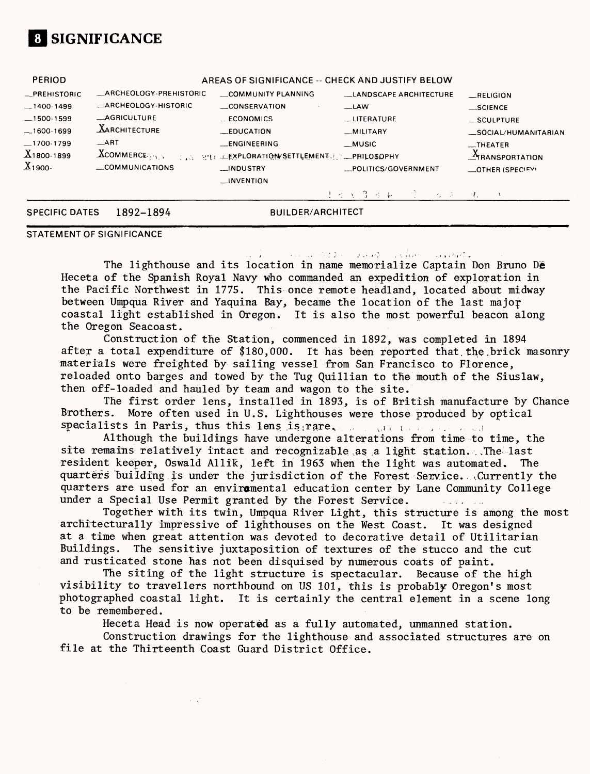# **01 SIGNIFICANCE**

| <b>PERIOD</b>         |                            |                                                                | AREAS OF SIGNIFICANCE -- CHECK AND JUSTIFY BELOW |                          |
|-----------------------|----------------------------|----------------------------------------------------------------|--------------------------------------------------|--------------------------|
| _PREHISTORIC          | _ARCHEOLOGY-PREHISTORIC    | COMMUNITY PLANNING                                             | <b>LANDSCAPE ARCHITECTURE</b>                    | $-$ RELIGION             |
| $-1400-1499$          | <b>ARCHEOLOGY-HISTORIC</b> | <b>CONSERVATION</b>                                            | $\equiv$ LAW                                     | $\equiv$ SCIENCE         |
| $-1500-1599$          | <b>_AGRICULTURE</b>        | $\_ECONOMICS$                                                  | __LITERATURE                                     | $\_$ SCULPTURE           |
| $-1600-1699$          | <b>AARCHITECTURE</b>       | <b>EDUCATION</b>                                               | _MILITARY                                        | SOCIAL/HUMANITARIAN      |
| $-1700-1799$          | ART                        | <b>LENGINEERING</b>                                            | $_M$ USIC                                        | $-$ THEATER              |
| $X_{1800-1899}$       | $X$ COMMERCE               | <b>TELS PRICE LEXPLORATION/SETTLEMENT ACTUALITY PHILOSOPHY</b> |                                                  | $A$ TRANSPORTATION       |
| $X_{1900}$            | COMMUNICATIONS             | __INDUSTRY                                                     | _POLITICS/GOVERNMENT                             | $\equiv$ OTHER (SPECIFY) |
|                       |                            | $\Box$ INVENTION                                               |                                                  |                          |
|                       |                            |                                                                | けどく3つも<br>こうこう きこん                               |                          |
| <b>SPECIFIC DATES</b> | 1892-1894                  |                                                                | <b>BUILDER/ARCHITECT</b>                         |                          |

#### **STATEMENT OF SIGNIFICANCE**

Common GID of the Common Common

The lighthouse and its location in name memorialize Captain Don Bruno De Heceta of the Spanish Royal Navy who commanded an expedition of exploration in the Pacific Northwest in 1775. This once remote headland, located about midway between Umpqua River and Yaquina Bay, became the location of the last major coastal light established in Oregon. It is also the most powerful beacon along the Oregon Seacoast.

Construction of the Station, commenced in 1892, was completed in 1894 after a total expenditure of \$180,000. It has been reported that the brick masonry materials were freighted by sailing vessel from San Francisco to Florence, reloaded onto barges and towed by the Tug Quillian to the mouth of the Siuslaw, then off-loaded and hauled by team and wagon to the site.

The first order lens, installed in 1893, is of British manufacture by Chance Brothers. More often used in U.S. Lighthouses were those produced by optical specialists in Paris, thus this lens is  $_{i}$  rare.

Although the buildings have undergone alterations from time to time, the site remains relatively intact and recognizable as a light station. . The last resident keeper, Oswald Allik, left in 1963 when the light was automated. The quarters building is under the jurisdiction of the Forest Service. .Currently the quarters are used for an enviromental education center by Lane Community College under a Special Use Permit granted by the Forest Service. الموارد الأنافذ المسابقة المستند

Together with its twin, Umpqua River Light, this structure is among the most architecturally impressive of lighthouses on the West Coast. It was designed at a time when great attention was devoted to decorative detail of Utilitarian Buildings. The sensitive juxtaposition of textures of the stucco and the cut and rusticated stone has not been disquised by numerous coats of paint.

The siting of the light structure is spectacular. Because of the high visibility to travellers northbound on US 101, this is probably Oregon's most photographed coastal light. It is certainly the central element in a scene long to be remembered.

Heceta Head is now operated as a fully automated, unmanned station.

Construction drawings for the lighthouse and associated structures are on file at the Thirteenth Coast Guard District Office.

 $\sim 1$